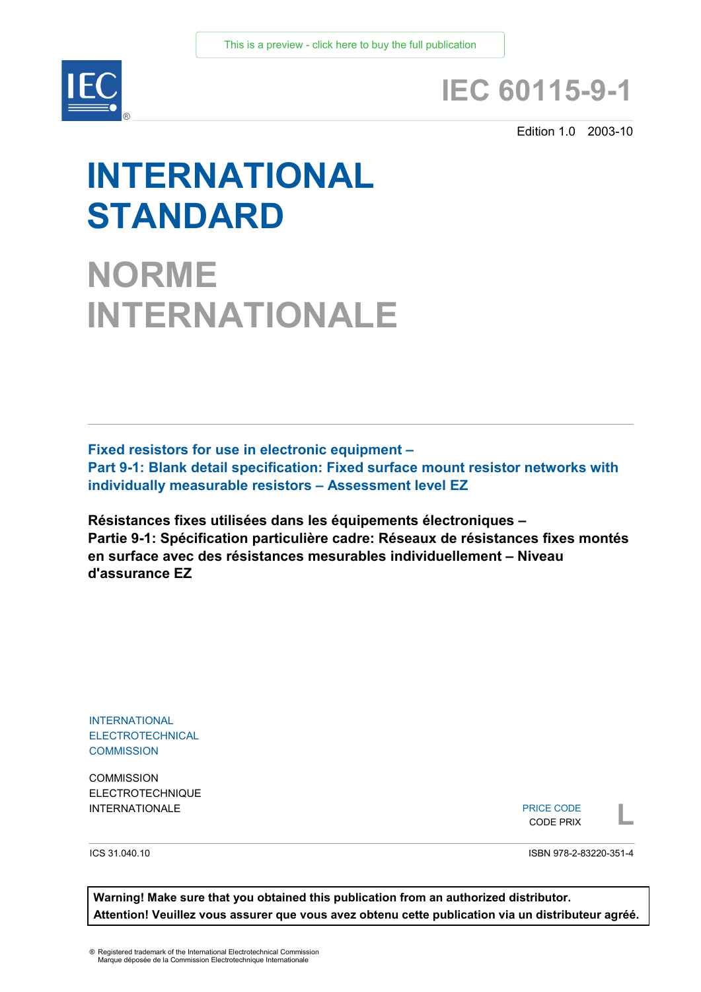

## **IEC 60115-9-1**

Edition 1.0 2003-10

# **INTERNATIONAL STANDARD**

**NORME INTERNATIONALE**

**Fixed resistors for use in electronic equipment – Part 9-1: Blank detail specification: Fixed surface mount resistor networks with individually measurable resistors – Assessment level EZ** 

**Résistances fixes utilisées dans les équipements électroniques – Partie 9-1: Spécification particulière cadre: Réseaux de résistances fixes montés en surface avec des résistances mesurables individuellement – Niveau d'assurance EZ**

INTERNATIONAL **ELECTROTECHNICAL COMMISSION** 

**COMMISSION** ELECTROTECHNIQUE

INTERNATIONALE PRICE CODE PRIX PRICE CODE CODE PRIX

ICS 31.040.10

ISBN 978-2-83220-351-4

**Warning! Make sure that you obtained this publication from an authorized distributor. Attention! Veuillez vous assurer que vous avez obtenu cette publication via un distributeur agréé.**

® Registered trademark of the International Electrotechnical Commission Marque déposée de la Commission Electrotechnique Internationale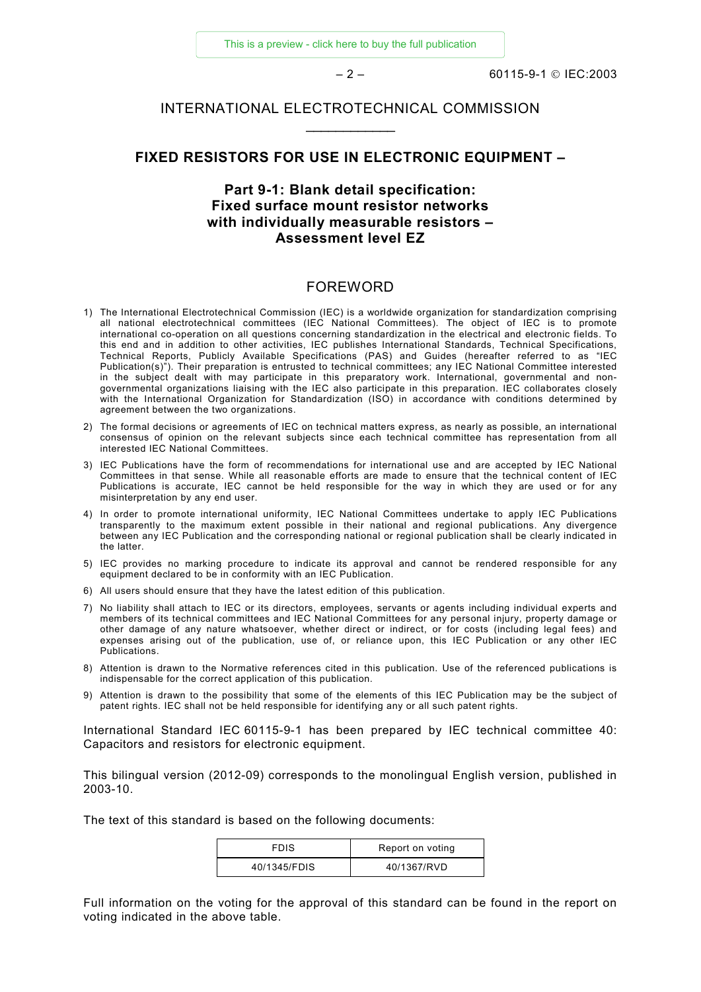[This is a preview - click here to buy the full publication](https://webstore.iec.ch/publication/783&preview=1)

 $-2 - 60115 - 9 - 1 \circ \text{IEC:} 2003$ 

#### INTERNATIONAL ELECTROTECHNICAL COMMISSION \_\_\_\_\_\_\_\_\_\_\_\_

#### **FIXED RESISTORS FOR USE IN ELECTRONIC EQUIPMENT –**

#### **Part 9-1: Blank detail specification: Fixed surface mount resistor networks with individually measurable resistors – Assessment level EZ**

#### FOREWORD

- 1) The International Electrotechnical Commission (IEC) is a worldwide organization for standardization comprising all national electrotechnical committees (IEC National Committees). The object of IEC is to promote international co-operation on all questions concerning standardization in the electrical and electronic fields. To this end and in addition to other activities, IEC publishes International Standards, Technical Specifications, Technical Reports, Publicly Available Specifications (PAS) and Guides (hereafter referred to as "IEC Publication(s)"). Their preparation is entrusted to technical committees; any IEC National Committee interested in the subject dealt with may participate in this preparatory work. International, governmental and nongovernmental organizations liaising with the IEC also participate in this preparation. IEC collaborates closely with the International Organization for Standardization (ISO) in accordance with conditions determined by agreement between the two organizations.
- 2) The formal decisions or agreements of IEC on technical matters express, as nearly as possible, an international consensus of opinion on the relevant subjects since each technical committee has representation from all interested IEC National Committees.
- 3) IEC Publications have the form of recommendations for international use and are accepted by IEC National Committees in that sense. While all reasonable efforts are made to ensure that the technical content of IEC Publications is accurate, IEC cannot be held responsible for the way in which they are used or for any misinterpretation by any end user.
- 4) In order to promote international uniformity, IEC National Committees undertake to apply IEC Publications transparently to the maximum extent possible in their national and regional publications. Any divergence between any IEC Publication and the corresponding national or regional publication shall be clearly indicated in the latter.
- 5) IEC provides no marking procedure to indicate its approval and cannot be rendered responsible for any equipment declared to be in conformity with an IEC Publication.
- 6) All users should ensure that they have the latest edition of this publication.
- 7) No liability shall attach to IEC or its directors, employees, servants or agents including individual experts and members of its technical committees and IEC National Committees for any personal injury, property damage or other damage of any nature whatsoever, whether direct or indirect, or for costs (including legal fees) and expenses arising out of the publication, use of, or reliance upon, this IEC Publication or any other IEC Publications.
- 8) Attention is drawn to the Normative references cited in this publication. Use of the referenced publications is indispensable for the correct application of this publication.
- 9) Attention is drawn to the possibility that some of the elements of this IEC Publication may be the subject of patent rights. IEC shall not be held responsible for identifying any or all such patent rights.

International Standard IEC 60115-9-1 has been prepared by IEC technical committee 40: Capacitors and resistors for electronic equipment.

This bilingual version (2012-09) corresponds to the monolingual English version, published in 2003-10.

The text of this standard is based on the following documents:

| <b>FDIS</b>  | Report on voting |  |  |  |  |
|--------------|------------------|--|--|--|--|
| 40/1345/FDIS | 40/1367/RVD      |  |  |  |  |

Full information on the voting for the approval of this standard can be found in the report on voting indicated in the above table.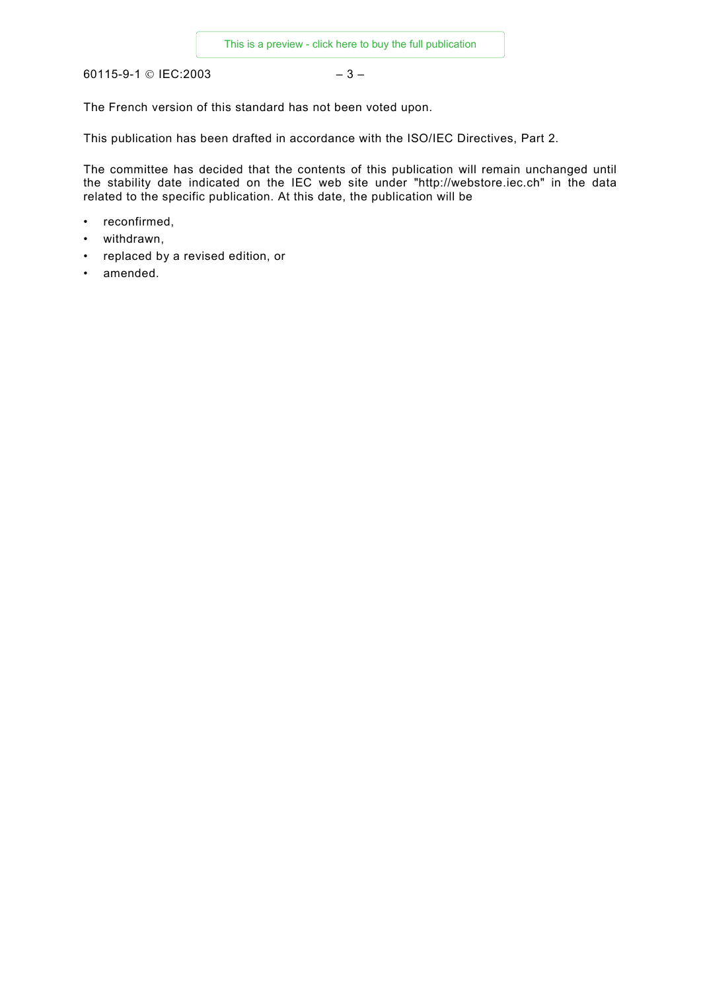60115-9-1 © IEC:2003  $-3-$ 

The French version of this standard has not been voted upon.

This publication has been drafted in accordance with the ISO/IEC Directives, Part 2.

The committee has decided that the contents of this publication will remain unchanged until the stability date indicated on the IEC web site under "http://webstore.iec.ch" in the data related to the specific publication. At this date, the publication will be

- reconfirmed,
- withdrawn,
- replaced by a revised edition, or
- amended.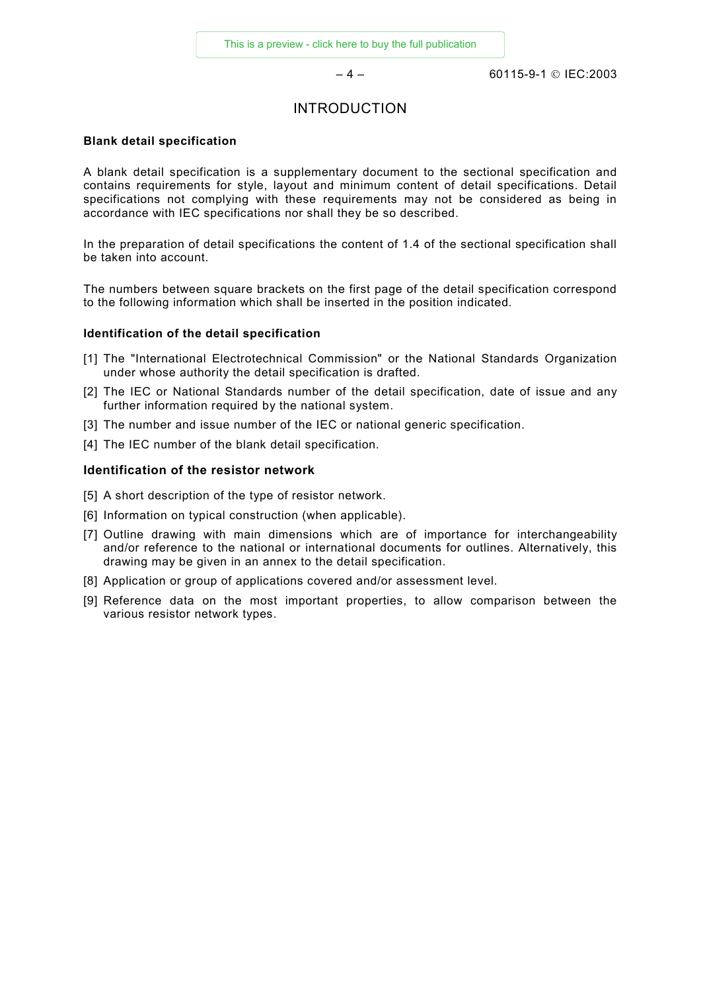$-4 - 60115-9-1$  © IFC:2003

#### INTRODUCTION

#### **Blank detail specification**

A blank detail specification is a supplementary document to the sectional specification and contains requirements for style, layout and minimum content of detail specifications. Detail specifications not complying with these requirements may not be considered as being in accordance with IEC specifications nor shall they be so described.

In the preparation of detail specifications the content of 1.4 of the sectional specification shall be taken into account.

The numbers between square brackets on the first page of the detail specification correspond to the following information which shall be inserted in the position indicated.

#### **Identification of the detail specification**

- [1] The "International Electrotechnical Commission" or the National Standards Organization under whose authority the detail specification is drafted.
- [2] The IEC or National Standards number of the detail specification, date of issue and any further information required by the national system.
- [3] The number and issue number of the IEC or national generic specification.
- [4] The IEC number of the blank detail specification.

#### **Identification of the resistor network**

- [5] A short description of the type of resistor network.
- [6] Information on typical construction (when applicable).
- [7] Outline drawing with main dimensions which are of importance for interchangeability and/or reference to the national or international documents for outlines. Alternatively, this drawing may be given in an annex to the detail specification.
- [8] Application or group of applications covered and/or assessment level.
- [9] Reference data on the most important properties, to allow comparison between the various resistor network types.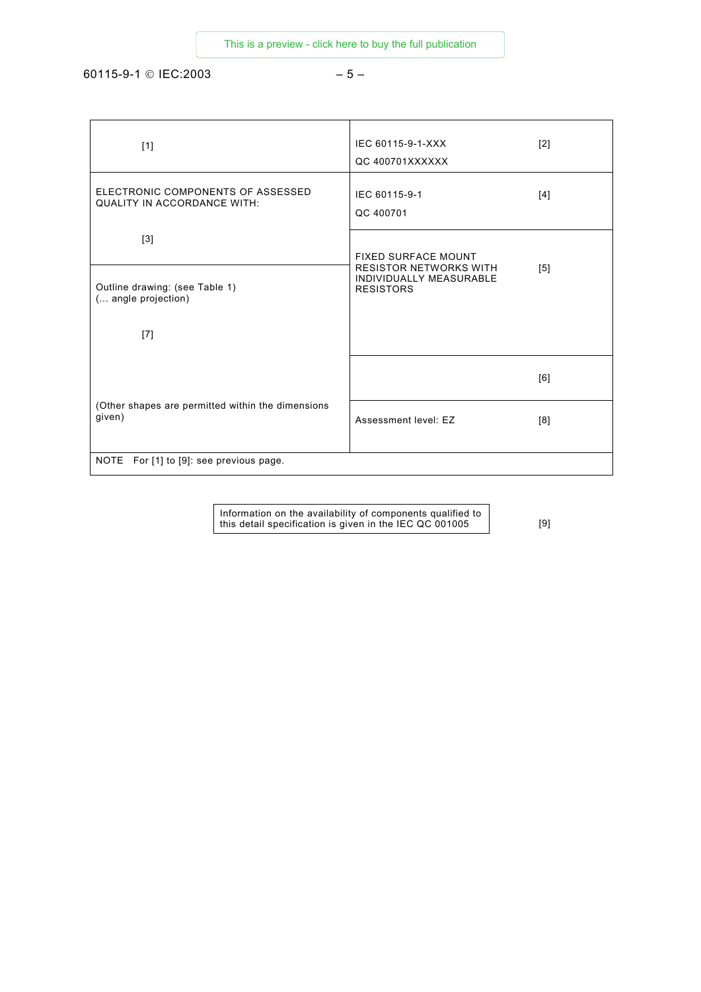60115-9-1 © IEC:2003 – 5 –

| $[1]$                                                                   | IEC 60115-9-1-XXX<br>QC 400701XXXXXX                        | $[2]$ |
|-------------------------------------------------------------------------|-------------------------------------------------------------|-------|
| ELECTRONIC COMPONENTS OF ASSESSED<br><b>QUALITY IN ACCORDANCE WITH:</b> | IEC 60115-9-1<br>QC 400701                                  | [4]   |
| $[3]$                                                                   |                                                             |       |
|                                                                         | <b>FIXED SURFACE MOUNT</b><br><b>RESISTOR NETWORKS WITH</b> | [5]   |
| Outline drawing: (see Table 1)<br>( angle projection)                   | INDIVIDUALLY MEASURABLE<br><b>RESISTORS</b>                 |       |
| $[7]$                                                                   |                                                             |       |
|                                                                         |                                                             | [6]   |
| (Other shapes are permitted within the dimensions<br>given)             | Assessment level: EZ                                        | [8]   |
| NOTE For [1] to [9]: see previous page.                                 |                                                             |       |

 [9] Information on the availability of components qualified to this detail specification is given in the IEC QC 001005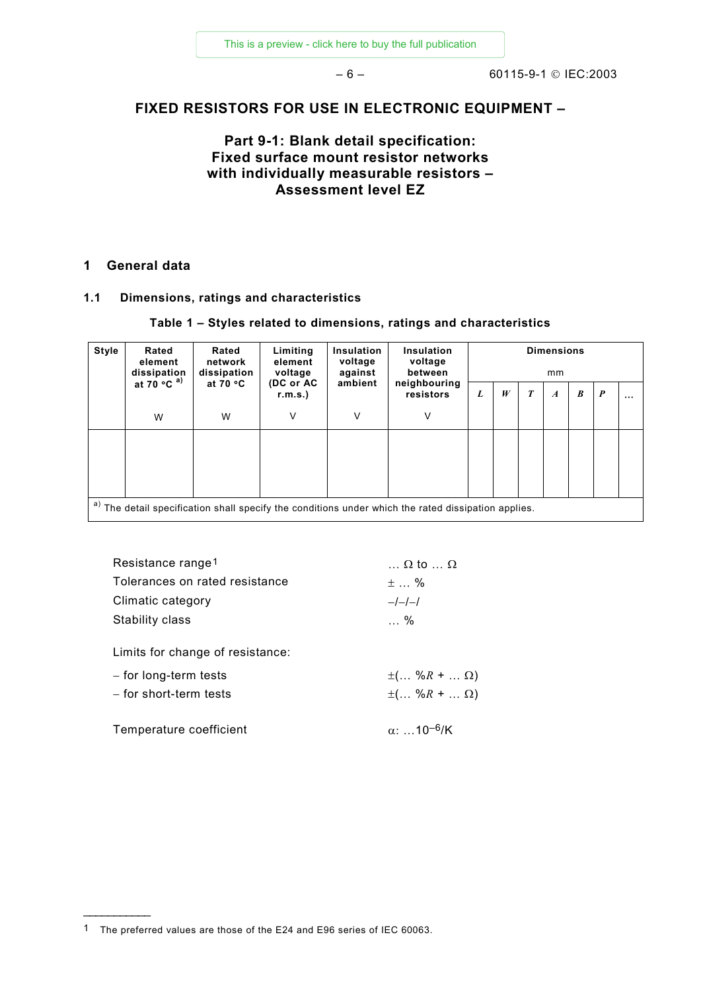#### **FIXED RESISTORS FOR USE IN ELECTRONIC EQUIPMENT –**

#### **Part 9-1: Blank detail specification: Fixed surface mount resistor networks with individually measurable resistors – Assessment level EZ**

#### **1 General data**

#### **1.1 Dimensions, ratings and characteristics**

#### **Table 1 – Styles related to dimensions, ratings and characteristics**

| Style | Rated<br>element<br>dissipation                                                                  | Rated<br>network<br>dissipation | Limiting<br>element<br>voltage | Insulation<br>voltage<br>against |                           | Insulation<br>voltage<br>between |   |   |                  | <b>Dimensions</b><br>mm |                  |          |  |
|-------|--------------------------------------------------------------------------------------------------|---------------------------------|--------------------------------|----------------------------------|---------------------------|----------------------------------|---|---|------------------|-------------------------|------------------|----------|--|
|       | at 70 $\degree$ C $\degree$                                                                      | at $70 °C$                      | (DC or AC<br>r.m.s.            | ambient                          | neighbouring<br>resistors | L                                | W | T | $\boldsymbol{A}$ | $\boldsymbol{B}$        | $\boldsymbol{P}$ | $\cdots$ |  |
|       | W                                                                                                | W                               | V                              | V                                | $\vee$                    |                                  |   |   |                  |                         |                  |          |  |
|       |                                                                                                  |                                 |                                |                                  |                           |                                  |   |   |                  |                         |                  |          |  |
|       |                                                                                                  |                                 |                                |                                  |                           |                                  |   |   |                  |                         |                  |          |  |
|       |                                                                                                  |                                 |                                |                                  |                           |                                  |   |   |                  |                         |                  |          |  |
| a)    | The detail specification shall specify the conditions under which the rated dissipation applies. |                                 |                                |                                  |                           |                                  |   |   |                  |                         |                  |          |  |

| Resistance range <sup>1</sup>                                                       | $\Omega$ to $\Omega$                               |
|-------------------------------------------------------------------------------------|----------------------------------------------------|
| Tolerances on rated resistance                                                      | $\pm$ %                                            |
| Climatic category                                                                   | $-1$ - $-1$                                        |
| <b>Stability class</b>                                                              | $\ldots \%$                                        |
| Limits for change of resistance:<br>- for long-term tests<br>- for short-term tests | $\pm$ ( %R + $\Omega$ )<br>$\pm$ ( %R + $\Omega$ ) |
| Temperature coefficient                                                             | $\alpha$ : 10 <sup>-6</sup> /K                     |

 $\overline{\phantom{a}}$ 

<span id="page-5-0"></span><sup>1</sup> The preferred values are those of the E24 and E96 series of IEC 60063.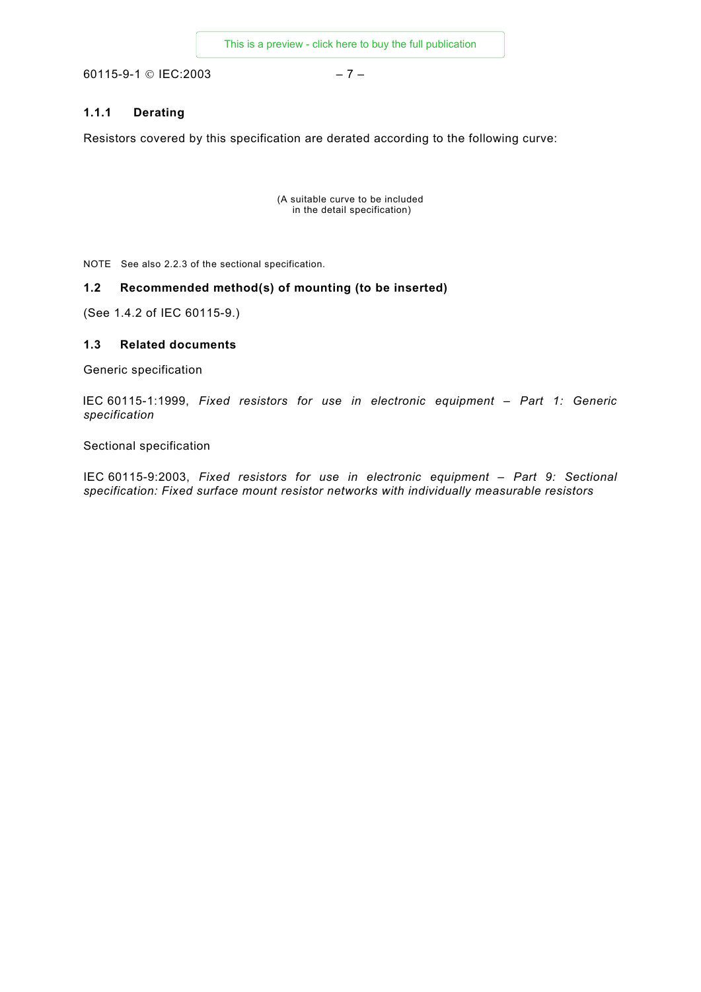60115-9-1 © IEC:2003 – 7 –

#### **1.1.1 Derating**

Resistors covered by this specification are derated according to the following curve:

(A suitable curve to be included in the detail specification)

NOTE See also 2.2.3 of the sectional specification.

#### **1.2 Recommended method(s) of mounting (to be inserted)**

(See 1.4.2 of IEC 60115-9.)

#### **1.3 Related documents**

Generic specification

IEC 60115-1:1999, *Fixed resistors for use in electronic equipment – Part 1: Generic specification*

Sectional specification

IEC 60115-9:2003, *Fixed resistors for use in electronic equipment – Part 9: Sectional specification: Fixed surface mount resistor networks with individually measurable resistors*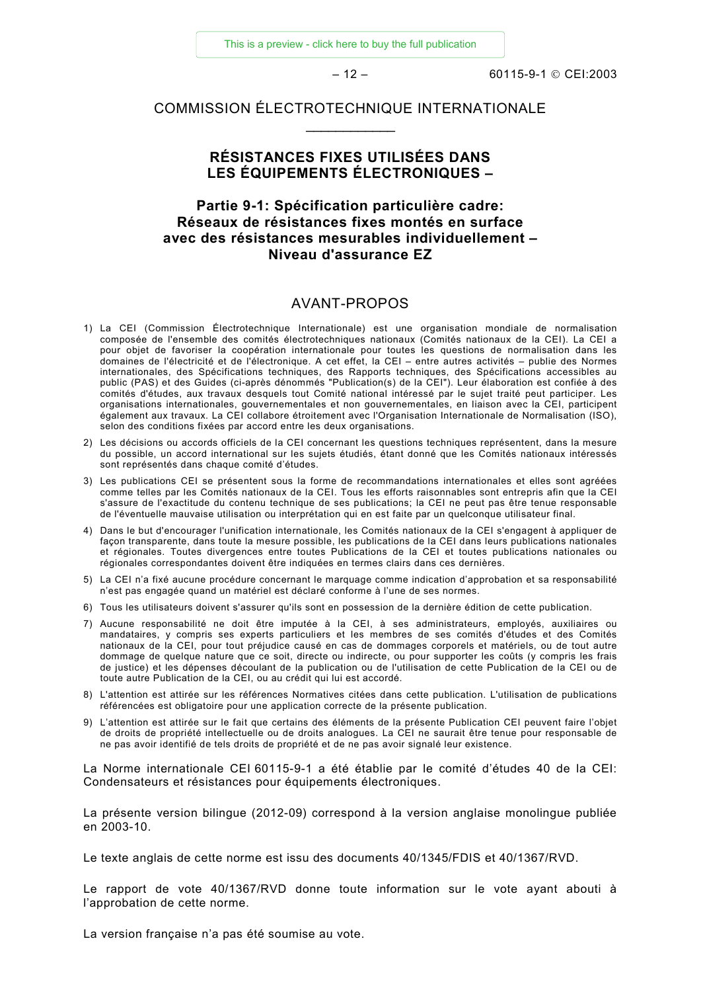[This is a preview - click here to buy the full publication](https://webstore.iec.ch/publication/783&preview=1)

 $-12 - 60115 - 9 - 1003$ 

#### COMMISSION ÉLECTROTECHNIQUE INTERNATIONALE \_\_\_\_\_\_\_\_\_\_\_\_

#### **RÉSISTANCES FIXES UTILISÉES DANS LES ÉQUIPEMENTS ÉLECTRONIQUES –**

#### **Partie 9-1: Spécification particulière cadre: Réseaux de résistances fixes montés en surface avec des résistances mesurables individuellement – Niveau d'assurance EZ**

#### AVANT-PROPOS

- 1) La CEI (Commission Électrotechnique Internationale) est une organisation mondiale de normalisation composée de l'ensemble des comités électrotechniques nationaux (Comités nationaux de la CEI). La CEI a pour objet de favoriser la coopération internationale pour toutes les questions de normalisation dans les domaines de l'électricité et de l'électronique. A cet effet, la CEI – entre autres activités – publie des Normes internationales, des Spécifications techniques, des Rapports techniques, des Spécifications accessibles au public (PAS) et des Guides (ci-après dénommés "Publication(s) de la CEI"). Leur élaboration est confiée à des comités d'études, aux travaux desquels tout Comité national intéressé par le sujet traité peut participer. Les organisations internationales, gouvernementales et non gouvernementales, en liaison avec la CEI, participent également aux travaux. La CEI collabore étroitement avec l'Organisation Internationale de Normalisation (ISO), selon des conditions fixées par accord entre les deux organisations.
- 2) Les décisions ou accords officiels de la CEI concernant les questions techniques représentent, dans la mesure du possible, un accord international sur les sujets étudiés, étant donné que les Comités nationaux intéressés sont représentés dans chaque comité d'études.
- 3) Les publications CEI se présentent sous la forme de recommandations internationales et elles sont agréées comme telles par les Comités nationaux de la CEI. Tous les efforts raisonnables sont entrepris afin que la CEI s'assure de l'exactitude du contenu technique de ses publications; la CEI ne peut pas être tenue responsable de l'éventuelle mauvaise utilisation ou interprétation qui en est faite par un quelconque utilisateur final.
- 4) Dans le but d'encourager l'unification internationale, les Comités nationaux de la CEI s'engagent à appliquer de façon transparente, dans toute la mesure possible, les publications de la CEI dans leurs publications nationales et régionales. Toutes divergences entre toutes Publications de la CEI et toutes publications nationales ou régionales correspondantes doivent être indiquées en termes clairs dans ces dernières.
- 5) La CEI n'a fixé aucune procédure concernant le marquage comme indication d'approbation et sa responsabilité n'est pas engagée quand un matériel est déclaré conforme à l'une de ses normes.
- 6) Tous les utilisateurs doivent s'assurer qu'ils sont en possession de la dernière édition de cette publication.
- 7) Aucune responsabilité ne doit être imputée à la CEI, à ses administrateurs, employés, auxiliaires ou mandataires, y compris ses experts particuliers et les membres de ses comités d'études et des Comités nationaux de la CEI, pour tout préjudice causé en cas de dommages corporels et matériels, ou de tout autre dommage de quelque nature que ce soit, directe ou indirecte, ou pour supporter les coûts (y compris les frais de justice) et les dépenses découlant de la publication ou de l'utilisation de cette Publication de la CEI ou de toute autre Publication de la CEI, ou au crédit qui lui est accordé.
- 8) L'attention est attirée sur les références Normatives citées dans cette publication. L'utilisation de publications référencées est obligatoire pour une application correcte de la présente publication.
- 9) L'attention est attirée sur le fait que certains des éléments de la présente Publication CEI peuvent faire l'objet de droits de propriété intellectuelle ou de droits analogues. La CEI ne saurait être tenue pour responsable de ne pas avoir identifié de tels droits de propriété et de ne pas avoir signalé leur existence.

La Norme internationale CEI 60115-9-1 a été établie par le comité d'études 40 de la CEI: Condensateurs et résistances pour équipements électroniques.

La présente version bilingue (2012-09) correspond à la version anglaise monolingue publiée en 2003-10.

Le texte anglais de cette norme est issu des documents 40/1345/FDIS et 40/1367/RVD.

Le rapport de vote 40/1367/RVD donne toute information sur le vote ayant abouti à l'approbation de cette norme.

La version française n'a pas été soumise au vote.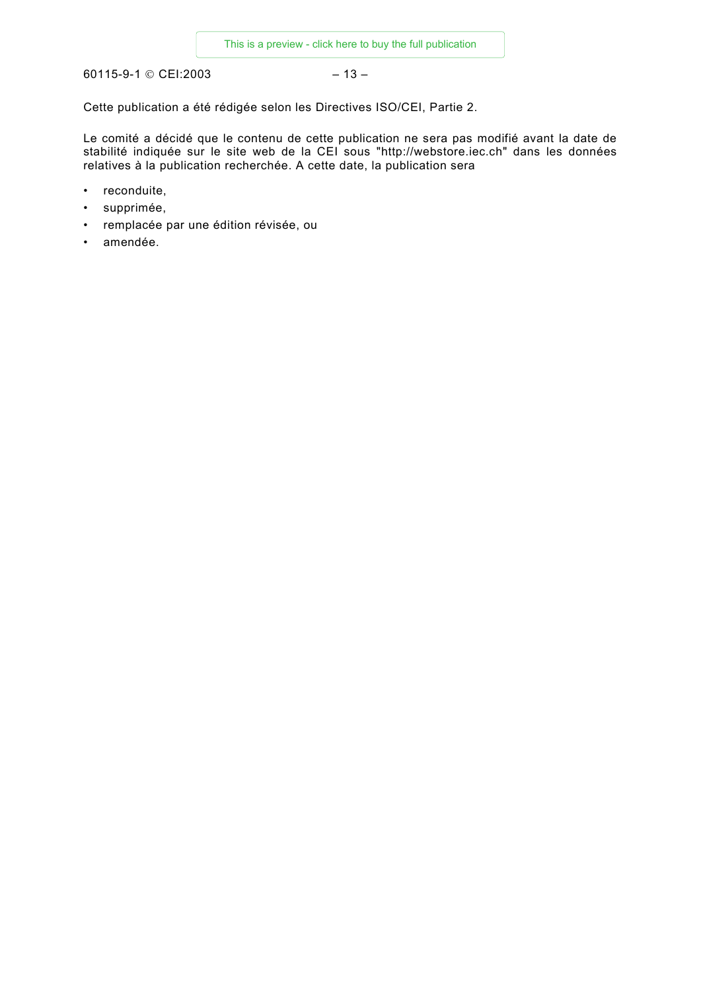60115-9-1 © CEI:2003 - 13 -

Cette publication a été rédigée selon les Directives ISO/CEI, Partie 2.

Le comité a décidé que le contenu de cette publication ne sera pas modifié avant la date de stabilité indiquée sur le site web de la CEI sous "http://webstore.iec.ch" dans les données relatives à la publication recherchée. A cette date, la publication sera

- reconduite,
- supprimée,
- remplacée par une édition révisée, ou
- amendée.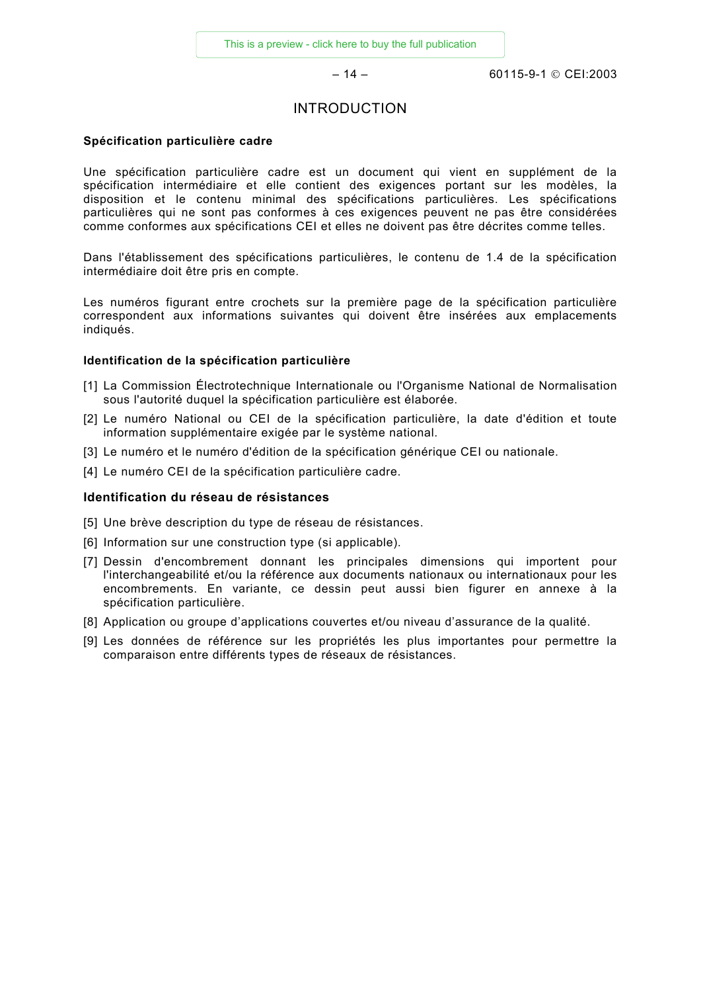#### INTRODUCTION

#### **Spécification particulière cadre**

Une spécification particulière cadre est un document qui vient en supplément de la spécification intermédiaire et elle contient des exigences portant sur les modèles, la disposition et le contenu minimal des spécifications particulières. Les spécifications particulières qui ne sont pas conformes à ces exigences peuvent ne pas être considérées comme conformes aux spécifications CEI et elles ne doivent pas être décrites comme telles.

Dans l'établissement des spécifications particulières, le contenu de 1.4 de la spécification intermédiaire doit être pris en compte.

Les numéros figurant entre crochets sur la première page de la spécification particulière correspondent aux informations suivantes qui doivent être insérées aux emplacements indiqués.

#### **Identification de la spécification particulière**

- [1] La Commission Électrotechnique Internationale ou l'Organisme National de Normalisation sous l'autorité duquel la spécification particulière est élaborée.
- [2] Le numéro National ou CEI de la spécification particulière, la date d'édition et toute information supplémentaire exigée par le système national.
- [3] Le numéro et le numéro d'édition de la spécification générique CEI ou nationale.
- [4] Le numéro CEI de la spécification particulière cadre.

#### **Identification du réseau de résistances**

- [5] Une brève description du type de réseau de résistances.
- [6] Information sur une construction type (si applicable).
- [7] Dessin d'encombrement donnant les principales dimensions qui importent pour l'interchangeabilité et/ou la référence aux documents nationaux ou internationaux pour les encombrements. En variante, ce dessin peut aussi bien figurer en annexe à la spécification particulière.
- [8] Application ou groupe d'applications couvertes et/ou niveau d'assurance de la qualité.
- [9] Les données de référence sur les propriétés les plus importantes pour permettre la comparaison entre différents types de réseaux de résistances.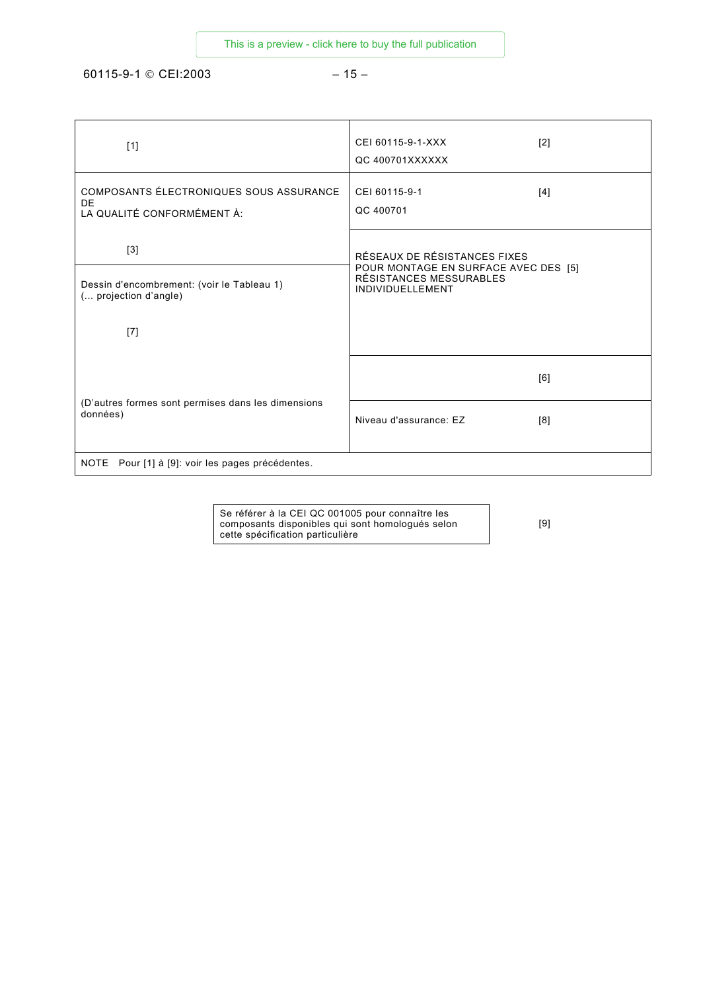60115-9-1 © CEI:2003 - 15 -

| $[1]$                                                                       | CEI 60115-9-1-XXX<br>$[2]$<br>QC 400701XXXXXX                                              |  |  |  |  |
|-----------------------------------------------------------------------------|--------------------------------------------------------------------------------------------|--|--|--|--|
| COMPOSANTS ÉLECTRONIQUES SOUS ASSURANCE<br>DE<br>LA QUALITÉ CONFORMÉMENT À: | CEI 60115-9-1<br>$[4]$<br>QC 400701                                                        |  |  |  |  |
| $[3]$                                                                       | RÉSEAUX DE RÉSISTANCES FIXES                                                               |  |  |  |  |
| Dessin d'encombrement: (voir le Tableau 1)<br>( projection d'angle)         | POUR MONTAGE EN SURFACE AVEC DES [5]<br>RÉSISTANCES MESSURABLES<br><b>INDIVIDUELLEMENT</b> |  |  |  |  |
| $[7]$                                                                       |                                                                                            |  |  |  |  |
|                                                                             | [6]                                                                                        |  |  |  |  |
| (D'autres formes sont permises dans les dimensions<br>données)              | Niveau d'assurance: EZ<br>[8]                                                              |  |  |  |  |
| NOTE Pour [1] à [9]: voir les pages précédentes.                            |                                                                                            |  |  |  |  |

 [9] Se référer à la CEI QC 001005 pour connaître les composants disponibles qui sont homologués selon cette spécification particulière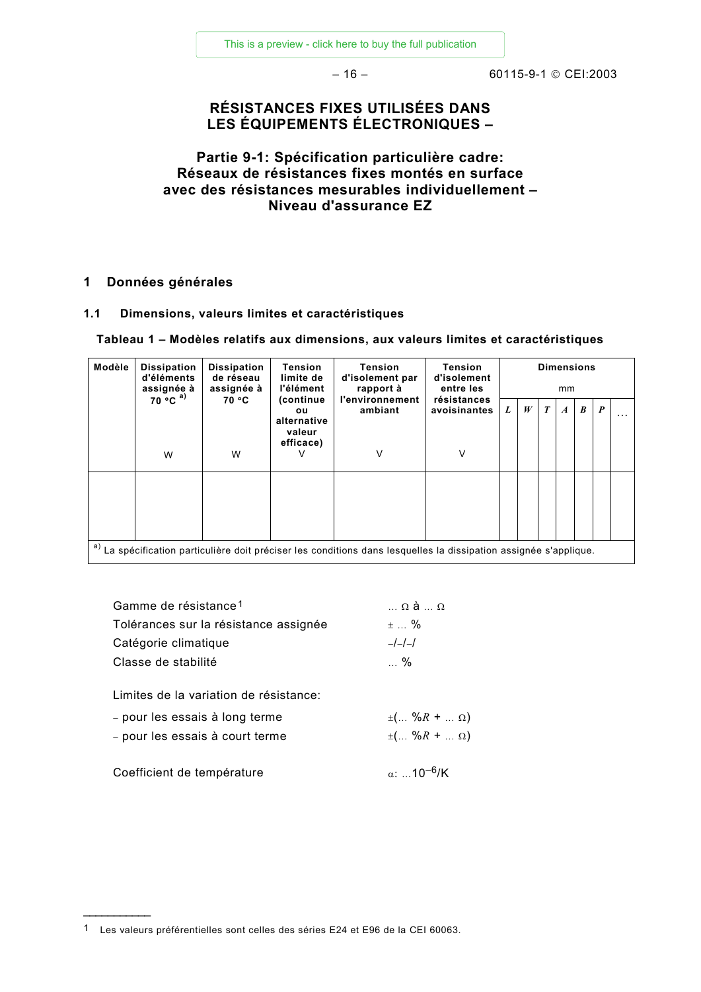$-16 - 60115 - 9 - 1 \odot \text{CE}$ 

### **RÉSISTANCES FIXES UTILISÉES DANS LES ÉQUIPEMENTS ÉLECTRONIQUES –**

#### **Partie 9-1: Spécification particulière cadre: Réseaux de résistances fixes montés en surface avec des résistances mesurables individuellement – Niveau d'assurance EZ**

#### **1 Données générales**

#### **1.1 Dimensions, valeurs limites et caractéristiques**

#### **Tableau 1 – Modèles relatifs aux dimensions, aux valeurs limites et caractéristiques**

| Modèle | <b>Dissipation</b><br>d'éléments<br>assignée à                                                                 | <b>Dissipation</b><br>de réseau<br>assignée à | <b>Tension</b><br>limite de<br>l'élément              | <b>Tension</b><br>d'isolement par<br>rapport à | <b>Dimensions</b><br><b>Tension</b><br>d'isolement<br>entre les<br><sub>mm</sub> |   |   |                  |                  |                  |                  |          |
|--------|----------------------------------------------------------------------------------------------------------------|-----------------------------------------------|-------------------------------------------------------|------------------------------------------------|----------------------------------------------------------------------------------|---|---|------------------|------------------|------------------|------------------|----------|
|        | $70^{\circ}$ C <sup>a)</sup>                                                                                   | 70 °C                                         | (continue<br>ou<br>alternative<br>valeur<br>efficace) | l'environnement<br>ambiant                     | résistances<br>avoisinantes                                                      | L | W | $\boldsymbol{T}$ | $\boldsymbol{A}$ | $\boldsymbol{B}$ | $\boldsymbol{P}$ | $\cdots$ |
|        | W                                                                                                              | W                                             |                                                       | $\vee$                                         | v                                                                                |   |   |                  |                  |                  |                  |          |
|        |                                                                                                                |                                               |                                                       |                                                |                                                                                  |   |   |                  |                  |                  |                  |          |
| a)     | La spécification particulière doit préciser les conditions dans lesquelles la dissipation assignée s'applique. |                                               |                                                       |                                                |                                                                                  |   |   |                  |                  |                  |                  |          |

| Gamme de résistance <sup>1</sup>       | $\Omega$ and $\Omega$          |
|----------------------------------------|--------------------------------|
| Tolérances sur la résistance assignée  | $\pm$ %                        |
| Catégorie climatique                   | $-1$ - $-1$                    |
| Classe de stabilité                    | $\mathcal{A}^{\prime}$         |
| Limites de la variation de résistance: |                                |
| – pour les essais à long terme         | $\pm$ ( %R + $\Omega$ )        |
| - pour les essais à court terme        | $\pm$ ( %R + $\Omega$ )        |
| Coefficient de température             | $\alpha$ : 10 <sup>-6</sup> /K |

 $\overline{\phantom{a}}$ 

<span id="page-11-0"></span><sup>1</sup> Les valeurs préférentielles sont celles des séries E24 et E96 de la CEI 60063.